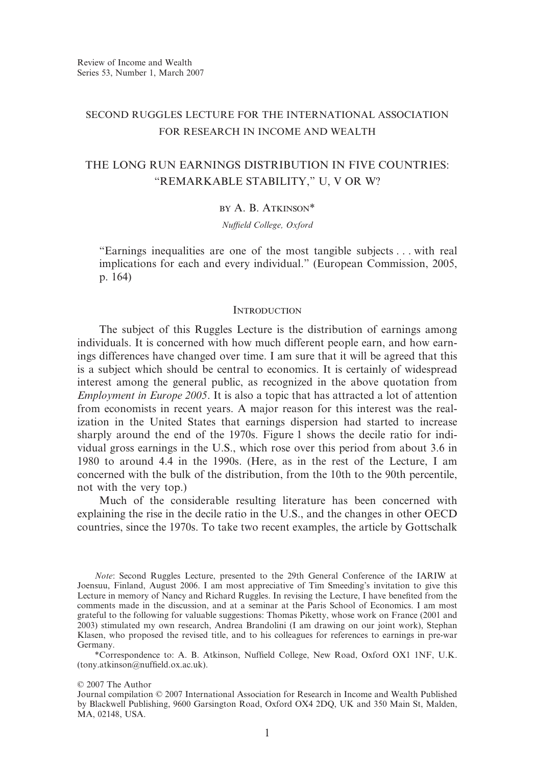# SECOND RUGGLES LECTURE FOR THE INTERNATIONAL ASSOCIATION FOR RESEARCH IN INCOME AND WEALTH

# THE LONG RUN EARNINGS DISTRIBUTION IN FIVE COUNTRIES: "REMARKABLE STABILITY," U, V OR W?

#### $RY A$  B ATKINSON\*

*Nuffield College, Oxford*

"Earnings inequalities are one of the most tangible subjects... with real implications for each and every individual." (European Commission, 2005, p. 164)

#### **INTRODUCTION**

The subject of this Ruggles Lecture is the distribution of earnings among individuals. It is concerned with how much different people earn, and how earnings differences have changed over time. I am sure that it will be agreed that this is a subject which should be central to economics. It is certainly of widespread interest among the general public, as recognized in the above quotation from *Employment in Europe 2005*. It is also a topic that has attracted a lot of attention from economists in recent years. A major reason for this interest was the realization in the United States that earnings dispersion had started to increase sharply around the end of the 1970s. Figure 1 shows the decile ratio for individual gross earnings in the U.S., which rose over this period from about 3.6 in 1980 to around 4.4 in the 1990s. (Here, as in the rest of the Lecture, I am concerned with the bulk of the distribution, from the 10th to the 90th percentile, not with the very top.)

Much of the considerable resulting literature has been concerned with explaining the rise in the decile ratio in the U.S., and the changes in other OECD countries, since the 1970s. To take two recent examples, the article by Gottschalk

*Note*: Second Ruggles Lecture, presented to the 29th General Conference of the IARIW at Joensuu, Finland, August 2006. I am most appreciative of Tim Smeeding's invitation to give this Lecture in memory of Nancy and Richard Ruggles. In revising the Lecture, I have benefited from the comments made in the discussion, and at a seminar at the Paris School of Economics. I am most grateful to the following for valuable suggestions: Thomas Piketty, whose work on France (2001 and 2003) stimulated my own research, Andrea Brandolini (I am drawing on our joint work), Stephan Klasen, who proposed the revised title, and to his colleagues for references to earnings in pre-war Germany.

\*Correspondence to: A. B. Atkinson, Nuffield College, New Road, Oxford OX1 1NF, U.K. (tony.atkinson@nuffield.ox.ac.uk).

© 2007 The Author

Journal compilation © 2007 International Association for Research in Income and Wealth Published by Blackwell Publishing, 9600 Garsington Road, Oxford OX4 2DQ, UK and 350 Main St, Malden, MA, 02148, USA.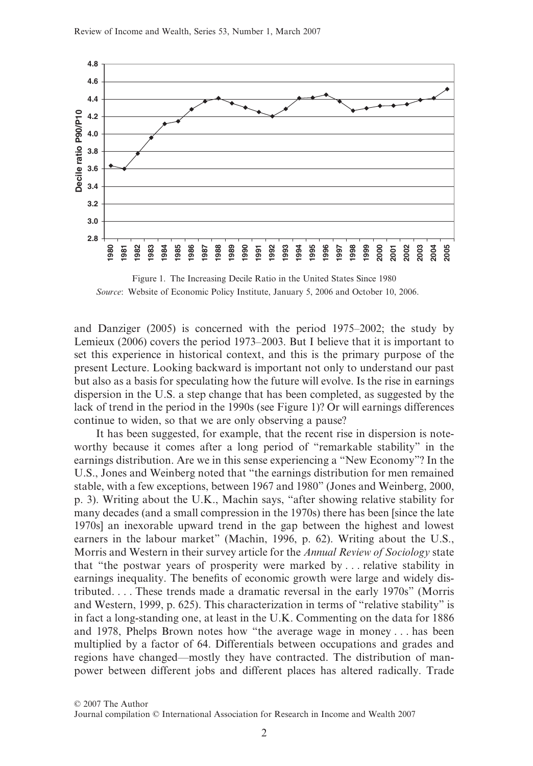

Figure 1. The Increasing Decile Ratio in the United States Since 1980 *Source*: Website of Economic Policy Institute, January 5, 2006 and October 10, 2006.

and Danziger (2005) is concerned with the period 1975–2002; the study by Lemieux (2006) covers the period 1973–2003. But I believe that it is important to set this experience in historical context, and this is the primary purpose of the present Lecture. Looking backward is important not only to understand our past but also as a basis for speculating how the future will evolve. Is the rise in earnings dispersion in the U.S. a step change that has been completed, as suggested by the lack of trend in the period in the 1990s (see Figure 1)? Or will earnings differences continue to widen, so that we are only observing a pause?

It has been suggested, for example, that the recent rise in dispersion is noteworthy because it comes after a long period of "remarkable stability" in the earnings distribution. Are we in this sense experiencing a "New Economy"? In the U.S., Jones and Weinberg noted that "the earnings distribution for men remained stable, with a few exceptions, between 1967 and 1980" (Jones and Weinberg, 2000, p. 3). Writing about the U.K., Machin says, "after showing relative stability for many decades (and a small compression in the 1970s) there has been [since the late 1970s] an inexorable upward trend in the gap between the highest and lowest earners in the labour market" (Machin, 1996, p. 62). Writing about the U.S., Morris and Western in their survey article for the *Annual Review of Sociology* state that "the postwar years of prosperity were marked by... relative stability in earnings inequality. The benefits of economic growth were large and widely distributed.... These trends made a dramatic reversal in the early 1970s" (Morris and Western, 1999, p. 625). This characterization in terms of "relative stability" is in fact a long-standing one, at least in the U.K. Commenting on the data for 1886 and 1978, Phelps Brown notes how "the average wage in money . . . has been multiplied by a factor of 64. Differentials between occupations and grades and regions have changed—mostly they have contracted. The distribution of manpower between different jobs and different places has altered radically. Trade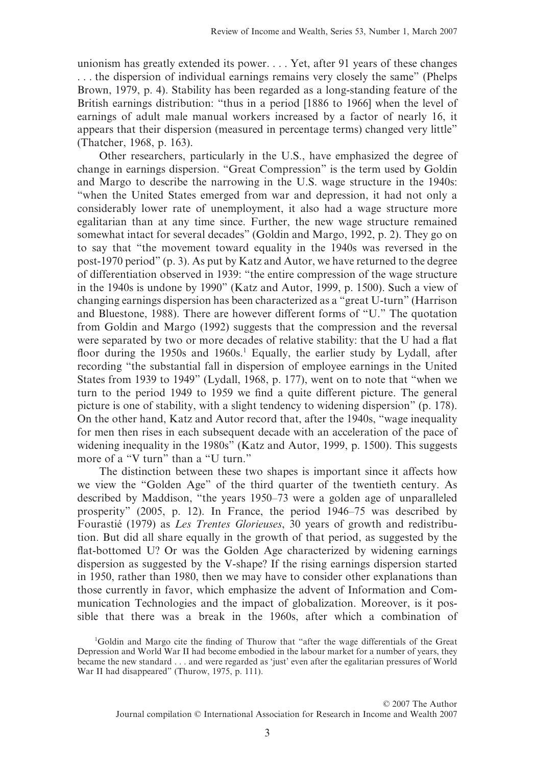unionism has greatly extended its power.... Yet, after 91 years of these changes ... the dispersion of individual earnings remains very closely the same" (Phelps Brown, 1979, p. 4). Stability has been regarded as a long-standing feature of the British earnings distribution: "thus in a period [1886 to 1966] when the level of earnings of adult male manual workers increased by a factor of nearly 16, it appears that their dispersion (measured in percentage terms) changed very little" (Thatcher, 1968, p. 163).

Other researchers, particularly in the U.S., have emphasized the degree of change in earnings dispersion. "Great Compression" is the term used by Goldin and Margo to describe the narrowing in the U.S. wage structure in the 1940s: "when the United States emerged from war and depression, it had not only a considerably lower rate of unemployment, it also had a wage structure more egalitarian than at any time since. Further, the new wage structure remained somewhat intact for several decades" (Goldin and Margo, 1992, p. 2). They go on to say that "the movement toward equality in the 1940s was reversed in the post-1970 period" (p. 3). As put by Katz and Autor, we have returned to the degree of differentiation observed in 1939: "the entire compression of the wage structure in the 1940s is undone by 1990" (Katz and Autor, 1999, p. 1500). Such a view of changing earnings dispersion has been characterized as a "great U-turn" (Harrison and Bluestone, 1988). There are however different forms of "U." The quotation from Goldin and Margo (1992) suggests that the compression and the reversal were separated by two or more decades of relative stability: that the U had a flat floor during the 1950s and 1960s.<sup>1</sup> Equally, the earlier study by Lydall, after recording "the substantial fall in dispersion of employee earnings in the United States from 1939 to 1949" (Lydall, 1968, p. 177), went on to note that "when we turn to the period 1949 to 1959 we find a quite different picture. The general picture is one of stability, with a slight tendency to widening dispersion" (p. 178). On the other hand, Katz and Autor record that, after the 1940s, "wage inequality for men then rises in each subsequent decade with an acceleration of the pace of widening inequality in the 1980s" (Katz and Autor, 1999, p. 1500). This suggests more of a "V turn" than a "U turn."

The distinction between these two shapes is important since it affects how we view the "Golden Age" of the third quarter of the twentieth century. As described by Maddison, "the years 1950–73 were a golden age of unparalleled prosperity" (2005, p. 12). In France, the period 1946–75 was described by Fourastié (1979) as *Les Trentes Glorieuses*, 30 years of growth and redistribution. But did all share equally in the growth of that period, as suggested by the flat-bottomed U? Or was the Golden Age characterized by widening earnings dispersion as suggested by the V-shape? If the rising earnings dispersion started in 1950, rather than 1980, then we may have to consider other explanations than those currently in favor, which emphasize the advent of Information and Communication Technologies and the impact of globalization. Moreover, is it possible that there was a break in the 1960s, after which a combination of

<sup>1</sup> Goldin and Margo cite the finding of Thurow that "after the wage differentials of the Great Depression and World War II had become embodied in the labour market for a number of years, they became the new standard . . . and were regarded as 'just' even after the egalitarian pressures of World War II had disappeared" (Thurow, 1975, p. 111).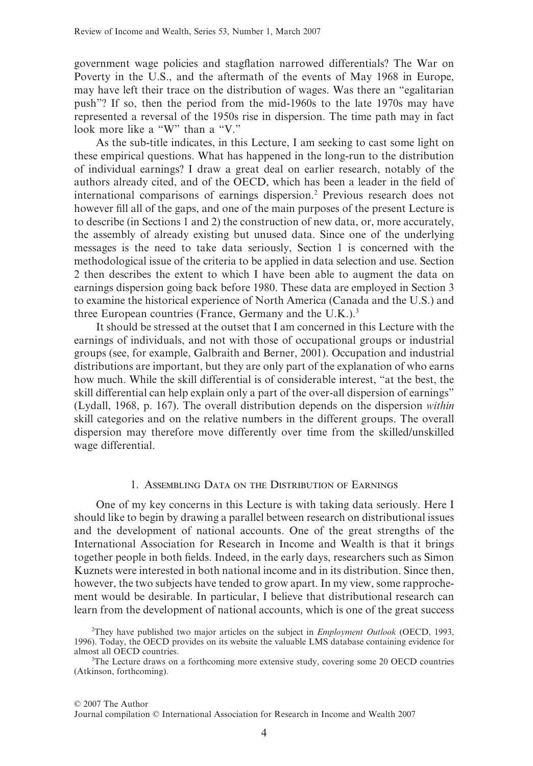government wage policies and stagflation narrowed differentials? The War on Poverty in the U.S., and the aftermath of the events of May 1968 in Europe, may have left their trace on the distribution of wages. Was there an "egalitarian push"? If so, then the period from the mid-1960s to the late 1970s may have represented a reversal of the 1950s rise in dispersion. The time path may in fact look more like a "W" than a "V."

As the sub-title indicates, in this Lecture, I am seeking to cast some light on these empirical questions. What has happened in the long-run to the distribution of individual earnings? I draw a great deal on earlier research, notably of the authors already cited, and of the OECD, which has been a leader in the field of international comparisons of earnings dispersion.2 Previous research does not however fill all of the gaps, and one of the main purposes of the present Lecture is to describe (in Sections 1 and 2) the construction of new data, or, more accurately, the assembly of already existing but unused data. Since one of the underlying messages is the need to take data seriously, Section 1 is concerned with the methodological issue of the criteria to be applied in data selection and use. Section 2 then describes the extent to which I have been able to augment the data on earnings dispersion going back before 1980. These data are employed in Section 3 to examine the historical experience of North America (Canada and the U.S.) and three European countries (France, Germany and the U.K.).<sup>3</sup>

It should be stressed at the outset that I am concerned in this Lecture with the earnings of individuals, and not with those of occupational groups or industrial groups (see, for example, Galbraith and Berner, 2001). Occupation and industrial distributions are important, but they are only part of the explanation of who earns how much. While the skill differential is of considerable interest, "at the best, the skill differential can help explain only a part of the over-all dispersion of earnings" (Lydall, 1968, p. 167). The overall distribution depends on the dispersion *within* skill categories and on the relative numbers in the different groups. The overall dispersion may therefore move differently over time from the skilled/unskilled wage differential.

# 1. ASSEMBLING DATA ON THE DISTRIBUTION OF EARNINGS

One of my key concerns in this Lecture is with taking data seriously. Here I should like to begin by drawing a parallel between research on distributional issues and the development of national accounts. One of the great strengths of the International Association for Research in Income and Wealth is that it brings together people in both fields. Indeed, in the early days, researchers such as Simon Kuznets were interested in both national income and in its distribution. Since then, however, the two subjects have tended to grow apart. In my view, some rapprochement would be desirable. In particular, I believe that distributional research can learn from the development of national accounts, which is one of the great success

<sup>2</sup> They have published two major articles on the subject in *Employment Outlook* (OECD, 1993, 1996). Today, the OECD provides on its website the valuable LMS database containing evidence for almost all OECD countries.

<sup>3</sup> The Lecture draws on a forthcoming more extensive study, covering some 20 OECD countries (Atkinson, forthcoming).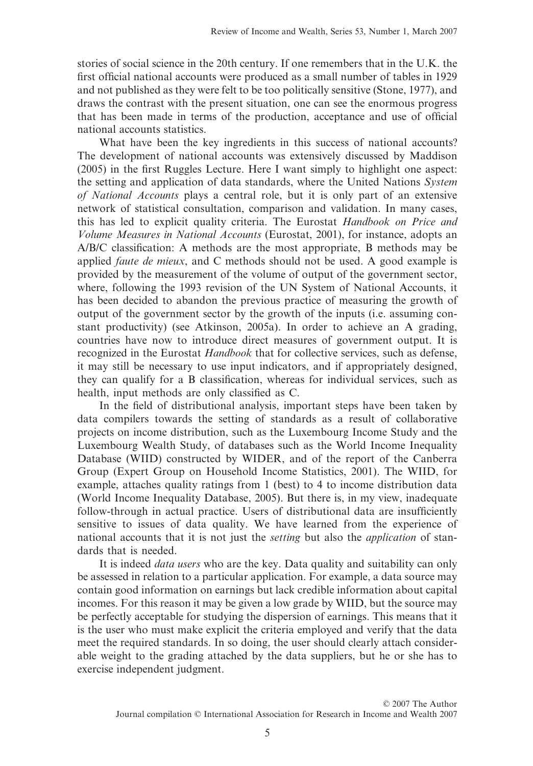stories of social science in the 20th century. If one remembers that in the U.K. the first official national accounts were produced as a small number of tables in 1929 and not published as they were felt to be too politically sensitive (Stone, 1977), and draws the contrast with the present situation, one can see the enormous progress that has been made in terms of the production, acceptance and use of official national accounts statistics.

What have been the key ingredients in this success of national accounts? The development of national accounts was extensively discussed by Maddison (2005) in the first Ruggles Lecture. Here I want simply to highlight one aspect: the setting and application of data standards, where the United Nations *System of National Accounts* plays a central role, but it is only part of an extensive network of statistical consultation, comparison and validation. In many cases, this has led to explicit quality criteria. The Eurostat *Handbook on Price and Volume Measures in National Accounts* (Eurostat, 2001), for instance, adopts an A/B/C classification: A methods are the most appropriate, B methods may be applied *faute de mieux*, and C methods should not be used. A good example is provided by the measurement of the volume of output of the government sector, where, following the 1993 revision of the UN System of National Accounts, it has been decided to abandon the previous practice of measuring the growth of output of the government sector by the growth of the inputs (i.e. assuming constant productivity) (see Atkinson, 2005a). In order to achieve an A grading, countries have now to introduce direct measures of government output. It is recognized in the Eurostat *Handbook* that for collective services, such as defense, it may still be necessary to use input indicators, and if appropriately designed, they can qualify for a B classification, whereas for individual services, such as health, input methods are only classified as C.

In the field of distributional analysis, important steps have been taken by data compilers towards the setting of standards as a result of collaborative projects on income distribution, such as the Luxembourg Income Study and the Luxembourg Wealth Study, of databases such as the World Income Inequality Database (WIID) constructed by WIDER, and of the report of the Canberra Group (Expert Group on Household Income Statistics, 2001). The WIID, for example, attaches quality ratings from 1 (best) to 4 to income distribution data (World Income Inequality Database, 2005). But there is, in my view, inadequate follow-through in actual practice. Users of distributional data are insufficiently sensitive to issues of data quality. We have learned from the experience of national accounts that it is not just the *setting* but also the *application* of standards that is needed.

It is indeed *data users* who are the key. Data quality and suitability can only be assessed in relation to a particular application. For example, a data source may contain good information on earnings but lack credible information about capital incomes. For this reason it may be given a low grade by WIID, but the source may be perfectly acceptable for studying the dispersion of earnings. This means that it is the user who must make explicit the criteria employed and verify that the data meet the required standards. In so doing, the user should clearly attach considerable weight to the grading attached by the data suppliers, but he or she has to exercise independent judgment.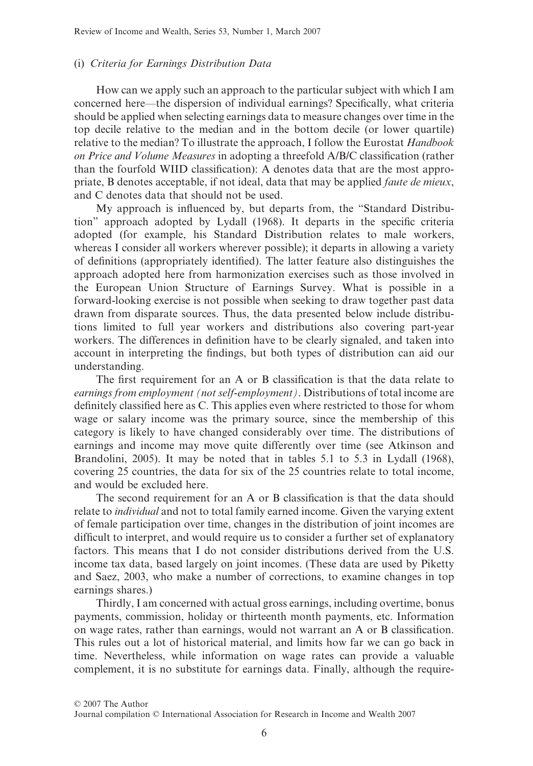#### (i) *Criteria for Earnings Distribution Data*

How can we apply such an approach to the particular subject with which I am concerned here—the dispersion of individual earnings? Specifically, what criteria should be applied when selecting earnings data to measure changes over time in the top decile relative to the median and in the bottom decile (or lower quartile) relative to the median? To illustrate the approach, I follow the Eurostat *Handbook on Price and Volume Measures* in adopting a threefold A/B/C classification (rather than the fourfold WIID classification): A denotes data that are the most appropriate, B denotes acceptable, if not ideal, data that may be applied *faute de mieux*, and C denotes data that should not be used.

My approach is influenced by, but departs from, the "Standard Distribution" approach adopted by Lydall (1968). It departs in the specific criteria adopted (for example, his Standard Distribution relates to male workers, whereas I consider all workers wherever possible); it departs in allowing a variety of definitions (appropriately identified). The latter feature also distinguishes the approach adopted here from harmonization exercises such as those involved in the European Union Structure of Earnings Survey. What is possible in a forward-looking exercise is not possible when seeking to draw together past data drawn from disparate sources. Thus, the data presented below include distributions limited to full year workers and distributions also covering part-year workers. The differences in definition have to be clearly signaled, and taken into account in interpreting the findings, but both types of distribution can aid our understanding.

The first requirement for an A or B classification is that the data relate to *earnings from employment (not self-employment)*. Distributions of total income are definitely classified here as C. This applies even where restricted to those for whom wage or salary income was the primary source, since the membership of this category is likely to have changed considerably over time. The distributions of earnings and income may move quite differently over time (see Atkinson and Brandolini, 2005). It may be noted that in tables 5.1 to 5.3 in Lydall (1968), covering 25 countries, the data for six of the 25 countries relate to total income, and would be excluded here.

The second requirement for an A or B classification is that the data should relate to *individual* and not to total family earned income. Given the varying extent of female participation over time, changes in the distribution of joint incomes are difficult to interpret, and would require us to consider a further set of explanatory factors. This means that I do not consider distributions derived from the U.S. income tax data, based largely on joint incomes. (These data are used by Piketty and Saez, 2003, who make a number of corrections, to examine changes in top earnings shares.)

Thirdly, I am concerned with actual gross earnings, including overtime, bonus payments, commission, holiday or thirteenth month payments, etc. Information on wage rates, rather than earnings, would not warrant an A or B classification. This rules out a lot of historical material, and limits how far we can go back in time. Nevertheless, while information on wage rates can provide a valuable complement, it is no substitute for earnings data. Finally, although the require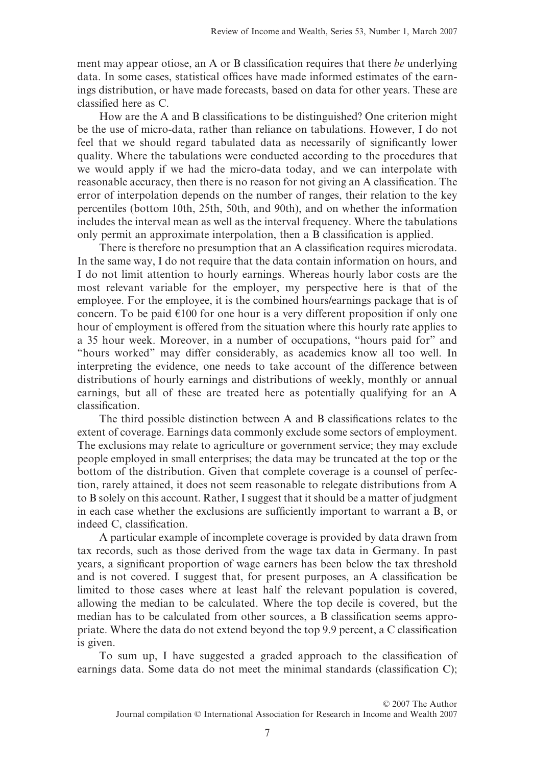ment may appear otiose, an A or B classification requires that there *be* underlying data. In some cases, statistical offices have made informed estimates of the earnings distribution, or have made forecasts, based on data for other years. These are classified here as C.

How are the A and B classifications to be distinguished? One criterion might be the use of micro-data, rather than reliance on tabulations. However, I do not feel that we should regard tabulated data as necessarily of significantly lower quality. Where the tabulations were conducted according to the procedures that we would apply if we had the micro-data today, and we can interpolate with reasonable accuracy, then there is no reason for not giving an A classification. The error of interpolation depends on the number of ranges, their relation to the key percentiles (bottom 10th, 25th, 50th, and 90th), and on whether the information includes the interval mean as well as the interval frequency. Where the tabulations only permit an approximate interpolation, then a B classification is applied.

There is therefore no presumption that an A classification requires microdata. In the same way, I do not require that the data contain information on hours, and I do not limit attention to hourly earnings. Whereas hourly labor costs are the most relevant variable for the employer, my perspective here is that of the employee. For the employee, it is the combined hours/earnings package that is of concern. To be paid  $\epsilon$ 100 for one hour is a very different proposition if only one hour of employment is offered from the situation where this hourly rate applies to a 35 hour week. Moreover, in a number of occupations, "hours paid for" and "hours worked" may differ considerably, as academics know all too well. In interpreting the evidence, one needs to take account of the difference between distributions of hourly earnings and distributions of weekly, monthly or annual earnings, but all of these are treated here as potentially qualifying for an A classification.

The third possible distinction between A and B classifications relates to the extent of coverage. Earnings data commonly exclude some sectors of employment. The exclusions may relate to agriculture or government service; they may exclude people employed in small enterprises; the data may be truncated at the top or the bottom of the distribution. Given that complete coverage is a counsel of perfection, rarely attained, it does not seem reasonable to relegate distributions from A to B solely on this account. Rather, I suggest that it should be a matter of judgment in each case whether the exclusions are sufficiently important to warrant a B, or indeed C, classification.

A particular example of incomplete coverage is provided by data drawn from tax records, such as those derived from the wage tax data in Germany. In past years, a significant proportion of wage earners has been below the tax threshold and is not covered. I suggest that, for present purposes, an A classification be limited to those cases where at least half the relevant population is covered, allowing the median to be calculated. Where the top decile is covered, but the median has to be calculated from other sources, a B classification seems appropriate. Where the data do not extend beyond the top 9.9 percent, a C classification is given.

To sum up, I have suggested a graded approach to the classification of earnings data. Some data do not meet the minimal standards (classification C);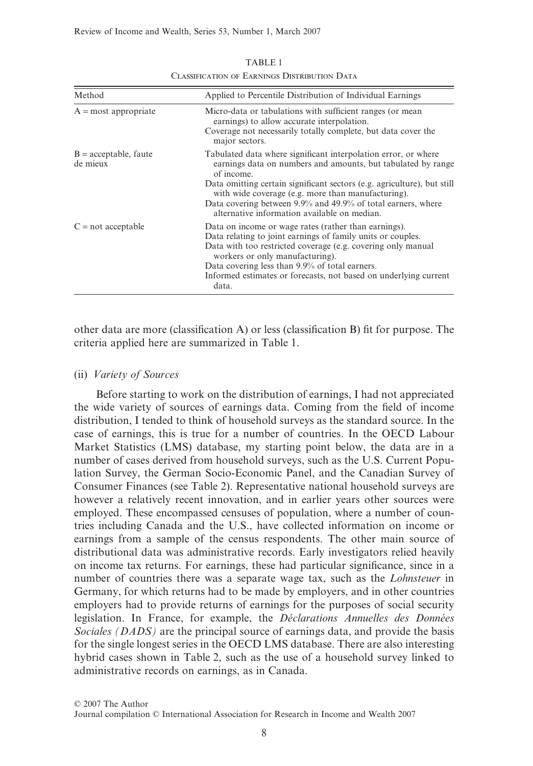| Method                              | Applied to Percentile Distribution of Individual Earnings                                                                                                                                                                                                                                                                                                                                     |
|-------------------------------------|-----------------------------------------------------------------------------------------------------------------------------------------------------------------------------------------------------------------------------------------------------------------------------------------------------------------------------------------------------------------------------------------------|
| $A = most appropriate$              | Micro-data or tabulations with sufficient ranges (or mean<br>earnings) to allow accurate interpolation.<br>Coverage not necessarily totally complete, but data cover the<br>major sectors.                                                                                                                                                                                                    |
| $B =$ acceptable, faute<br>de mieux | Tabulated data where significant interpolation error, or where<br>earnings data on numbers and amounts, but tabulated by range<br>of income.<br>Data omitting certain significant sectors (e.g. agriculture), but still<br>with wide coverage (e.g. more than manufacturing).<br>Data covering between 9.9% and 49.9% of total earners, where<br>alternative information available on median. |
| $C = not acceptable$                | Data on income or wage rates (rather than earnings).<br>Data relating to joint earnings of family units or couples.<br>Data with too restricted coverage (e.g. covering only manual<br>workers or only manufacturing).<br>Data covering less than 9.9% of total earners.<br>Informed estimates or forecasts, not based on underlying current<br>data.                                         |

TABLE 1 CLASSIFICATION OF EARNINGS DISTRIBUTION DATA

other data are more (classification A) or less (classification B) fit for purpose. The criteria applied here are summarized in Table 1.

#### (ii) *Variety of Sources*

Before starting to work on the distribution of earnings, I had not appreciated the wide variety of sources of earnings data. Coming from the field of income distribution, I tended to think of household surveys as the standard source. In the case of earnings, this is true for a number of countries. In the OECD Labour Market Statistics (LMS) database, my starting point below, the data are in a number of cases derived from household surveys, such as the U.S. Current Population Survey, the German Socio-Economic Panel, and the Canadian Survey of Consumer Finances (see Table 2). Representative national household surveys are however a relatively recent innovation, and in earlier years other sources were employed. These encompassed censuses of population, where a number of countries including Canada and the U.S., have collected information on income or earnings from a sample of the census respondents. The other main source of distributional data was administrative records. Early investigators relied heavily on income tax returns. For earnings, these had particular significance, since in a number of countries there was a separate wage tax, such as the *Lohnsteuer* in Germany, for which returns had to be made by employers, and in other countries employers had to provide returns of earnings for the purposes of social security legislation. In France, for example, the *Déclarations Annuelles des Données Sociales (DADS)* are the principal source of earnings data, and provide the basis for the single longest series in the OECD LMS database. There are also interesting hybrid cases shown in Table 2, such as the use of a household survey linked to administrative records on earnings, as in Canada.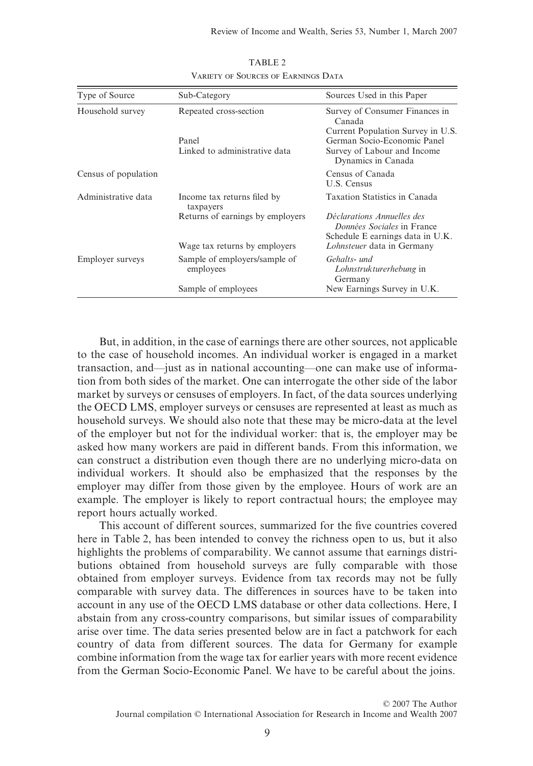| Type of Source       | Sub-Category                               | Sources Used in this Paper                                                                          |
|----------------------|--------------------------------------------|-----------------------------------------------------------------------------------------------------|
| Household survey     | Repeated cross-section                     | Survey of Consumer Finances in<br>Canada                                                            |
|                      | Panel                                      | Current Population Survey in U.S.<br>German Socio-Economic Panel                                    |
|                      | Linked to administrative data              | Survey of Labour and Income<br>Dynamics in Canada                                                   |
| Census of population |                                            | Census of Canada<br>U.S. Census                                                                     |
| Administrative data  | Income tax returns filed by<br>taxpayers   | Taxation Statistics in Canada                                                                       |
|                      | Returns of earnings by employers           | Déclarations Annuelles des<br><i>Données Sociales</i> in France<br>Schedule E earnings data in U.K. |
|                      | Wage tax returns by employers              | <i>Lohnsteuer</i> data in Germany                                                                   |
| Employer surveys     | Sample of employers/sample of<br>employees | Gehalts- und<br><i>Lohnstrukturerhebung</i> in<br>Germany                                           |
|                      | Sample of employees                        | New Earnings Survey in U.K.                                                                         |

TABLE 2 VARIETY OF SOURCES OF EARNINGS DATA

But, in addition, in the case of earnings there are other sources, not applicable to the case of household incomes. An individual worker is engaged in a market transaction, and—just as in national accounting—one can make use of information from both sides of the market. One can interrogate the other side of the labor market by surveys or censuses of employers. In fact, of the data sources underlying the OECD LMS, employer surveys or censuses are represented at least as much as household surveys. We should also note that these may be micro-data at the level of the employer but not for the individual worker: that is, the employer may be asked how many workers are paid in different bands. From this information, we can construct a distribution even though there are no underlying micro-data on individual workers. It should also be emphasized that the responses by the employer may differ from those given by the employee. Hours of work are an example. The employer is likely to report contractual hours; the employee may report hours actually worked.

This account of different sources, summarized for the five countries covered here in Table 2, has been intended to convey the richness open to us, but it also highlights the problems of comparability. We cannot assume that earnings distributions obtained from household surveys are fully comparable with those obtained from employer surveys. Evidence from tax records may not be fully comparable with survey data. The differences in sources have to be taken into account in any use of the OECD LMS database or other data collections. Here, I abstain from any cross-country comparisons, but similar issues of comparability arise over time. The data series presented below are in fact a patchwork for each country of data from different sources. The data for Germany for example combine information from the wage tax for earlier years with more recent evidence from the German Socio-Economic Panel. We have to be careful about the joins.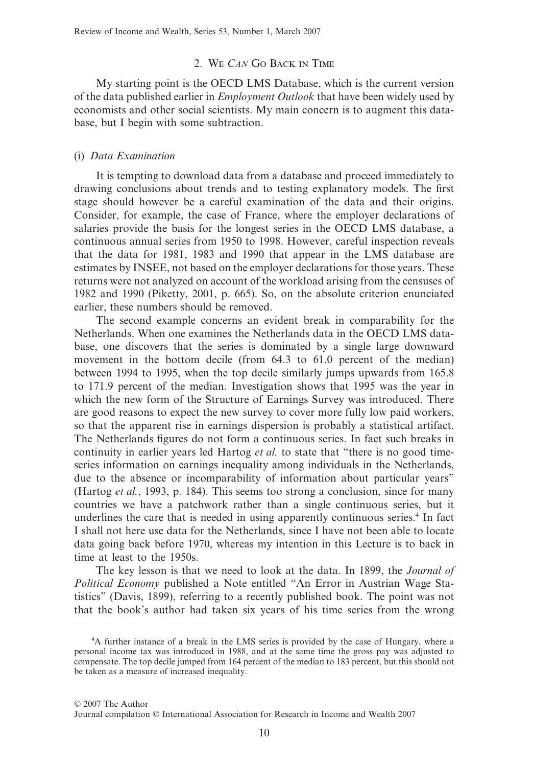# 2. WE *CAN* GO BACK IN TIME

My starting point is the OECD LMS Database, which is the current version of the data published earlier in *Employment Outlook* that have been widely used by economists and other social scientists. My main concern is to augment this database, but I begin with some subtraction.

#### (i) *Data Examination*

It is tempting to download data from a database and proceed immediately to drawing conclusions about trends and to testing explanatory models. The first stage should however be a careful examination of the data and their origins. Consider, for example, the case of France, where the employer declarations of salaries provide the basis for the longest series in the OECD LMS database, a continuous annual series from 1950 to 1998. However, careful inspection reveals that the data for 1981, 1983 and 1990 that appear in the LMS database are estimates by INSEE, not based on the employer declarations for those years. These returns were not analyzed on account of the workload arising from the censuses of 1982 and 1990 (Piketty, 2001, p. 665). So, on the absolute criterion enunciated earlier, these numbers should be removed.

The second example concerns an evident break in comparability for the Netherlands. When one examines the Netherlands data in the OECD LMS database, one discovers that the series is dominated by a single large downward movement in the bottom decile (from 64.3 to 61.0 percent of the median) between 1994 to 1995, when the top decile similarly jumps upwards from 165.8 to 171.9 percent of the median. Investigation shows that 1995 was the year in which the new form of the Structure of Earnings Survey was introduced. There are good reasons to expect the new survey to cover more fully low paid workers, so that the apparent rise in earnings dispersion is probably a statistical artifact. The Netherlands figures do not form a continuous series. In fact such breaks in continuity in earlier years led Hartog *et al.* to state that "there is no good timeseries information on earnings inequality among individuals in the Netherlands, due to the absence or incomparability of information about particular years" (Hartog *et al.*, 1993, p. 184). This seems too strong a conclusion, since for many countries we have a patchwork rather than a single continuous series, but it underlines the care that is needed in using apparently continuous series.<sup>4</sup> In fact I shall not here use data for the Netherlands, since I have not been able to locate data going back before 1970, whereas my intention in this Lecture is to back in time at least to the 1950s.

The key lesson is that we need to look at the data. In 1899, the *Journal of Political Economy* published a Note entitled "An Error in Austrian Wage Statistics" (Davis, 1899), referring to a recently published book. The point was not that the book's author had taken six years of his time series from the wrong

<sup>4</sup> A further instance of a break in the LMS series is provided by the case of Hungary, where a personal income tax was introduced in 1988, and at the same time the gross pay was adjusted to compensate. The top decile jumped from 164 percent of the median to 183 percent, but this should not be taken as a measure of increased inequality.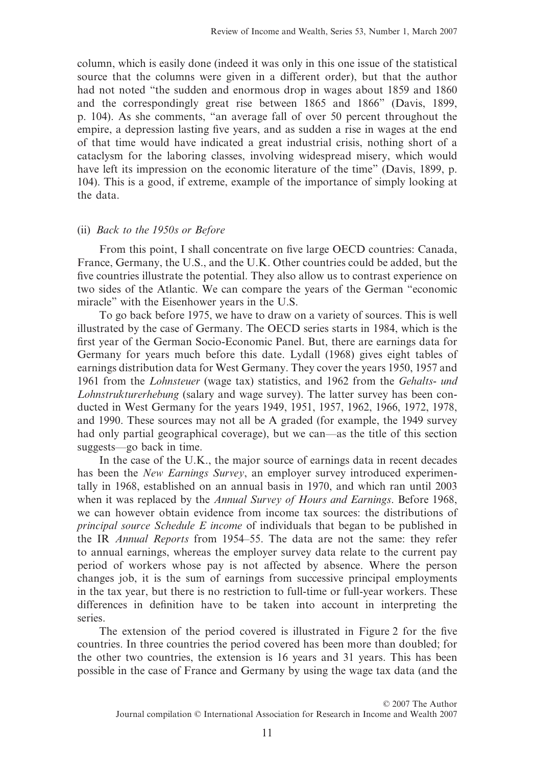column, which is easily done (indeed it was only in this one issue of the statistical source that the columns were given in a different order), but that the author had not noted "the sudden and enormous drop in wages about 1859 and 1860 and the correspondingly great rise between 1865 and 1866" (Davis, 1899, p. 104). As she comments, "an average fall of over 50 percent throughout the empire, a depression lasting five years, and as sudden a rise in wages at the end of that time would have indicated a great industrial crisis, nothing short of a cataclysm for the laboring classes, involving widespread misery, which would have left its impression on the economic literature of the time" (Davis, 1899, p. 104). This is a good, if extreme, example of the importance of simply looking at the data.

#### (ii) *Back to the 1950s or Before*

From this point, I shall concentrate on five large OECD countries: Canada, France, Germany, the U.S., and the U.K. Other countries could be added, but the five countries illustrate the potential. They also allow us to contrast experience on two sides of the Atlantic. We can compare the years of the German "economic miracle" with the Eisenhower years in the U.S.

To go back before 1975, we have to draw on a variety of sources. This is well illustrated by the case of Germany. The OECD series starts in 1984, which is the first year of the German Socio-Economic Panel. But, there are earnings data for Germany for years much before this date. Lydall (1968) gives eight tables of earnings distribution data for West Germany. They cover the years 1950, 1957 and 1961 from the *Lohnsteuer* (wage tax) statistics, and 1962 from the *Gehalts- und Lohnstrukturerhebung* (salary and wage survey). The latter survey has been conducted in West Germany for the years 1949, 1951, 1957, 1962, 1966, 1972, 1978, and 1990. These sources may not all be A graded (for example, the 1949 survey had only partial geographical coverage), but we can—as the title of this section suggests—go back in time.

In the case of the U.K., the major source of earnings data in recent decades has been the *New Earnings Survey*, an employer survey introduced experimentally in 1968, established on an annual basis in 1970, and which ran until 2003 when it was replaced by the *Annual Survey of Hours and Earnings*. Before 1968, we can however obtain evidence from income tax sources: the distributions of *principal source Schedule E income* of individuals that began to be published in the IR *Annual Reports* from 1954–55. The data are not the same: they refer to annual earnings, whereas the employer survey data relate to the current pay period of workers whose pay is not affected by absence. Where the person changes job, it is the sum of earnings from successive principal employments in the tax year, but there is no restriction to full-time or full-year workers. These differences in definition have to be taken into account in interpreting the series.

The extension of the period covered is illustrated in Figure 2 for the five countries. In three countries the period covered has been more than doubled; for the other two countries, the extension is 16 years and 31 years. This has been possible in the case of France and Germany by using the wage tax data (and the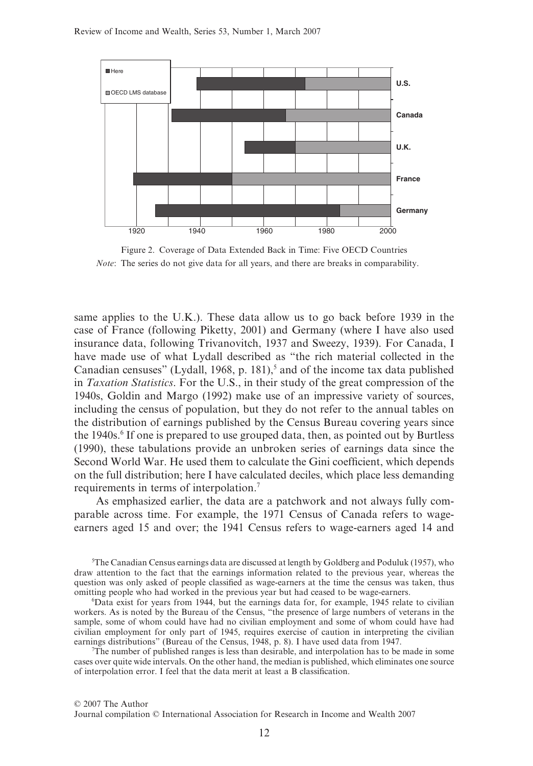

Figure 2. Coverage of Data Extended Back in Time: Five OECD Countries *Note*: The series do not give data for all years, and there are breaks in comparability.

same applies to the U.K.). These data allow us to go back before 1939 in the case of France (following Piketty, 2001) and Germany (where I have also used insurance data, following Trivanovitch, 1937 and Sweezy, 1939). For Canada, I have made use of what Lydall described as "the rich material collected in the Canadian censuses" (Lydall, 1968, p. 181),<sup>5</sup> and of the income tax data published in *Taxation Statistics*. For the U.S., in their study of the great compression of the 1940s, Goldin and Margo (1992) make use of an impressive variety of sources, including the census of population, but they do not refer to the annual tables on the distribution of earnings published by the Census Bureau covering years since the 1940s.<sup>6</sup> If one is prepared to use grouped data, then, as pointed out by Burtless (1990), these tabulations provide an unbroken series of earnings data since the Second World War. He used them to calculate the Gini coefficient, which depends on the full distribution; here I have calculated deciles, which place less demanding requirements in terms of interpolation.7

As emphasized earlier, the data are a patchwork and not always fully comparable across time. For example, the 1971 Census of Canada refers to wageearners aged 15 and over; the 1941 Census refers to wage-earners aged 14 and

5 The Canadian Census earnings data are discussed at length by Goldberg and Poduluk (1957), who draw attention to the fact that the earnings information related to the previous year, whereas the question was only asked of people classified as wage-earners at the time the census was taken, thus omitting people who had worked in the previous year but had ceased to be wage-earners.

7 The number of published ranges is less than desirable, and interpolation has to be made in some cases over quite wide intervals. On the other hand, the median is published, which eliminates one source of interpolation error. I feel that the data merit at least a B classification.

<sup>6</sup> Data exist for years from 1944, but the earnings data for, for example, 1945 relate to civilian workers. As is noted by the Bureau of the Census, "the presence of large numbers of veterans in the sample, some of whom could have had no civilian employment and some of whom could have had civilian employment for only part of 1945, requires exercise of caution in interpreting the civilian earnings distributions" (Bureau of the Census, 1948, p. 8). I have used data from 1947.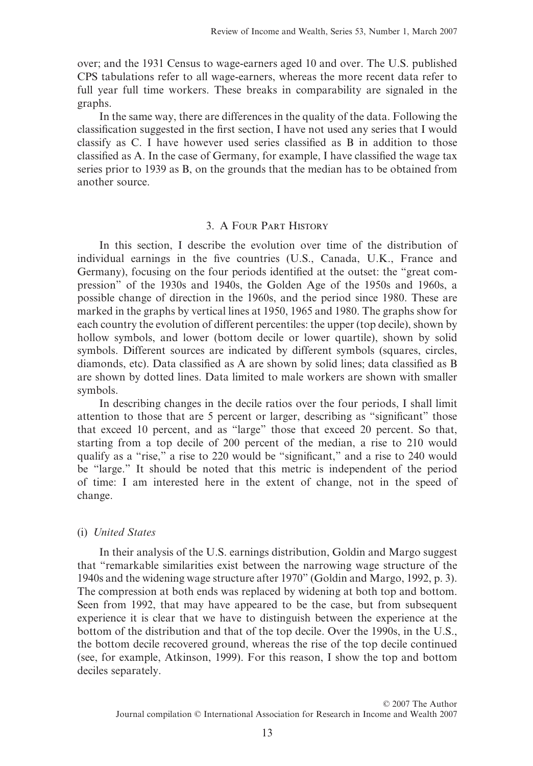over; and the 1931 Census to wage-earners aged 10 and over. The U.S. published CPS tabulations refer to all wage-earners, whereas the more recent data refer to full year full time workers. These breaks in comparability are signaled in the graphs.

In the same way, there are differences in the quality of the data. Following the classification suggested in the first section, I have not used any series that I would classify as C. I have however used series classified as B in addition to those classified as A. In the case of Germany, for example, I have classified the wage tax series prior to 1939 as B, on the grounds that the median has to be obtained from another source.

#### 3. A FOUR PART HISTORY

In this section, I describe the evolution over time of the distribution of individual earnings in the five countries (U.S., Canada, U.K., France and Germany), focusing on the four periods identified at the outset: the "great compression" of the 1930s and 1940s, the Golden Age of the 1950s and 1960s, a possible change of direction in the 1960s, and the period since 1980. These are marked in the graphs by vertical lines at 1950, 1965 and 1980. The graphs show for each country the evolution of different percentiles: the upper (top decile), shown by hollow symbols, and lower (bottom decile or lower quartile), shown by solid symbols. Different sources are indicated by different symbols (squares, circles, diamonds, etc). Data classified as A are shown by solid lines; data classified as B are shown by dotted lines. Data limited to male workers are shown with smaller symbols.

In describing changes in the decile ratios over the four periods, I shall limit attention to those that are 5 percent or larger, describing as "significant" those that exceed 10 percent, and as "large" those that exceed 20 percent. So that, starting from a top decile of 200 percent of the median, a rise to 210 would qualify as a "rise," a rise to 220 would be "significant," and a rise to 240 would be "large." It should be noted that this metric is independent of the period of time: I am interested here in the extent of change, not in the speed of change.

# (i) *United States*

In their analysis of the U.S. earnings distribution, Goldin and Margo suggest that "remarkable similarities exist between the narrowing wage structure of the 1940s and the widening wage structure after 1970" (Goldin and Margo, 1992, p. 3). The compression at both ends was replaced by widening at both top and bottom. Seen from 1992, that may have appeared to be the case, but from subsequent experience it is clear that we have to distinguish between the experience at the bottom of the distribution and that of the top decile. Over the 1990s, in the U.S., the bottom decile recovered ground, whereas the rise of the top decile continued (see, for example, Atkinson, 1999). For this reason, I show the top and bottom deciles separately.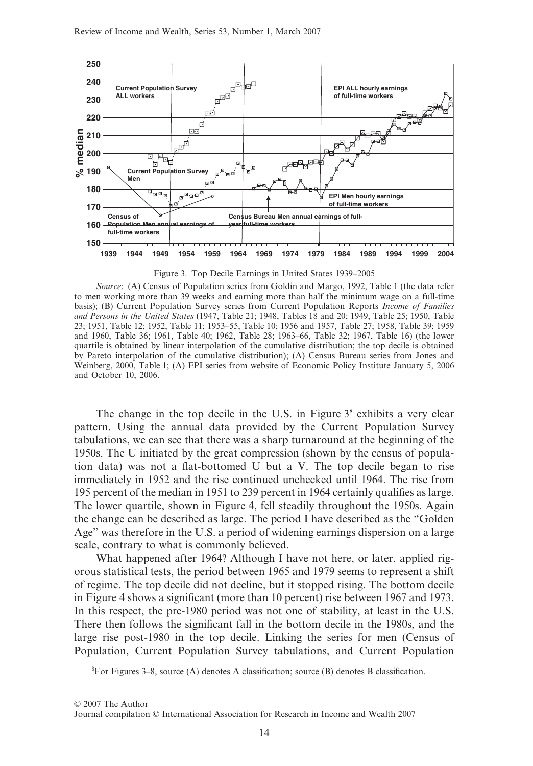

Figure 3. Top Decile Earnings in United States 1939–2005

*Source*: (A) Census of Population series from Goldin and Margo, 1992, Table 1 (the data refer to men working more than 39 weeks and earning more than half the minimum wage on a full-time basis); (B) Current Population Survey series from Current Population Reports *Income of Families and Persons in the United States* (1947, Table 21; 1948, Tables 18 and 20; 1949, Table 25; 1950, Table 23; 1951, Table 12; 1952, Table 11; 1953–55, Table 10; 1956 and 1957, Table 27; 1958, Table 39; 1959 and 1960, Table 36; 1961, Table 40; 1962, Table 28; 1963–66, Table 32; 1967, Table 16) (the lower quartile is obtained by linear interpolation of the cumulative distribution; the top decile is obtained by Pareto interpolation of the cumulative distribution); (A) Census Bureau series from Jones and Weinberg, 2000, Table 1; (A) EPI series from website of Economic Policy Institute January 5, 2006 and October 10, 2006.

The change in the top decile in the U.S. in Figure  $3<sup>8</sup>$  exhibits a very clear pattern. Using the annual data provided by the Current Population Survey tabulations, we can see that there was a sharp turnaround at the beginning of the 1950s. The U initiated by the great compression (shown by the census of population data) was not a flat-bottomed U but a V. The top decile began to rise immediately in 1952 and the rise continued unchecked until 1964. The rise from 195 percent of the median in 1951 to 239 percent in 1964 certainly qualifies as large. The lower quartile, shown in Figure 4, fell steadily throughout the 1950s. Again the change can be described as large. The period I have described as the "Golden Age" was therefore in the U.S. a period of widening earnings dispersion on a large scale, contrary to what is commonly believed.

What happened after 1964? Although I have not here, or later, applied rigorous statistical tests, the period between 1965 and 1979 seems to represent a shift of regime. The top decile did not decline, but it stopped rising. The bottom decile in Figure 4 shows a significant (more than 10 percent) rise between 1967 and 1973. In this respect, the pre-1980 period was not one of stability, at least in the U.S. There then follows the significant fall in the bottom decile in the 1980s, and the large rise post-1980 in the top decile. Linking the series for men (Census of Population, Current Population Survey tabulations, and Current Population

8 For Figures 3–8, source (A) denotes A classification; source (B) denotes B classification.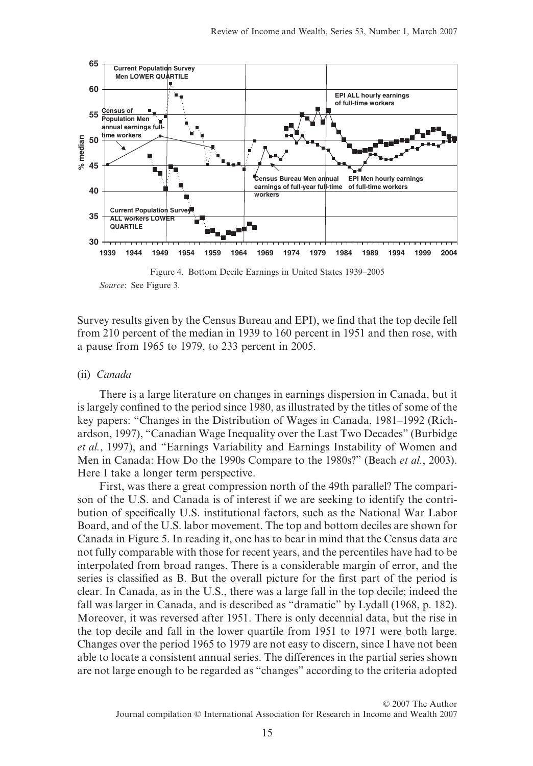

Figure 4. Bottom Decile Earnings in United States 1939–2005 *Source*: See Figure 3.

Survey results given by the Census Bureau and EPI), we find that the top decile fell from 210 percent of the median in 1939 to 160 percent in 1951 and then rose, with a pause from 1965 to 1979, to 233 percent in 2005.

# (ii) *Canada*

There is a large literature on changes in earnings dispersion in Canada, but it is largely confined to the period since 1980, as illustrated by the titles of some of the key papers: "Changes in the Distribution of Wages in Canada, 1981–1992 (Richardson, 1997), "Canadian Wage Inequality over the Last Two Decades" (Burbidge *et al.*, 1997), and "Earnings Variability and Earnings Instability of Women and Men in Canada: How Do the 1990s Compare to the 1980s?" (Beach *et al.*, 2003). Here I take a longer term perspective.

First, was there a great compression north of the 49th parallel? The comparison of the U.S. and Canada is of interest if we are seeking to identify the contribution of specifically U.S. institutional factors, such as the National War Labor Board, and of the U.S. labor movement. The top and bottom deciles are shown for Canada in Figure 5. In reading it, one has to bear in mind that the Census data are not fully comparable with those for recent years, and the percentiles have had to be interpolated from broad ranges. There is a considerable margin of error, and the series is classified as B. But the overall picture for the first part of the period is clear. In Canada, as in the U.S., there was a large fall in the top decile; indeed the fall was larger in Canada, and is described as "dramatic" by Lydall (1968, p. 182). Moreover, it was reversed after 1951. There is only decennial data, but the rise in the top decile and fall in the lower quartile from 1951 to 1971 were both large. Changes over the period 1965 to 1979 are not easy to discern, since I have not been able to locate a consistent annual series. The differences in the partial series shown are not large enough to be regarded as "changes" according to the criteria adopted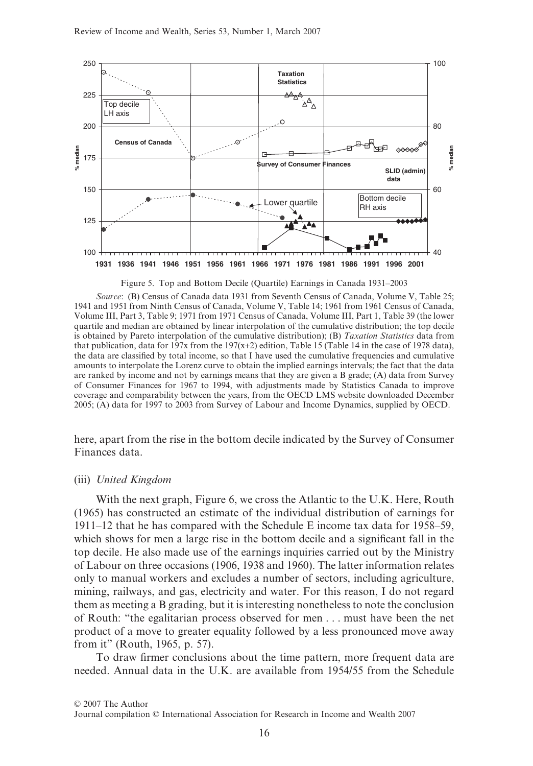

Figure 5. Top and Bottom Decile (Quartile) Earnings in Canada 1931–2003

*Source*: (B) Census of Canada data 1931 from Seventh Census of Canada, Volume V, Table 25; 1941 and 1951 from Ninth Census of Canada, Volume V, Table 14; 1961 from 1961 Census of Canada, Volume III, Part 3, Table 9; 1971 from 1971 Census of Canada, Volume III, Part 1, Table 39 (the lower quartile and median are obtained by linear interpolation of the cumulative distribution; the top decile is obtained by Pareto interpolation of the cumulative distribution); (B) *Taxation Statistics* data from that publication, data for  $197x$  from the  $197(x+2)$  edition, Table 15 (Table 14 in the case of 1978 data), the data are classified by total income, so that I have used the cumulative frequencies and cumulative amounts to interpolate the Lorenz curve to obtain the implied earnings intervals; the fact that the data are ranked by income and not by earnings means that they are given a  $\overline{B}$  grade; (A) data from Survey of Consumer Finances for 1967 to 1994, with adjustments made by Statistics Canada to improve coverage and comparability between the years, from the OECD LMS website downloaded December 2005; (A) data for 1997 to 2003 from Survey of Labour and Income Dynamics, supplied by OECD.

here, apart from the rise in the bottom decile indicated by the Survey of Consumer Finances data.

#### (iii) *United Kingdom*

With the next graph, Figure 6, we cross the Atlantic to the U.K. Here, Routh (1965) has constructed an estimate of the individual distribution of earnings for 1911–12 that he has compared with the Schedule E income tax data for 1958–59, which shows for men a large rise in the bottom decile and a significant fall in the top decile. He also made use of the earnings inquiries carried out by the Ministry of Labour on three occasions (1906, 1938 and 1960). The latter information relates only to manual workers and excludes a number of sectors, including agriculture, mining, railways, and gas, electricity and water. For this reason, I do not regard them as meeting a B grading, but it is interesting nonetheless to note the conclusion of Routh: "the egalitarian process observed for men... must have been the net product of a move to greater equality followed by a less pronounced move away from it" (Routh, 1965, p. 57).

To draw firmer conclusions about the time pattern, more frequent data are needed. Annual data in the U.K. are available from 1954/55 from the Schedule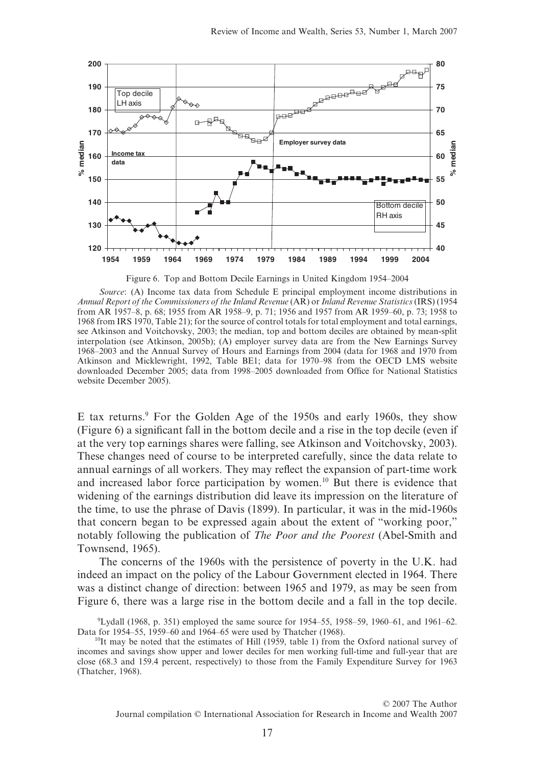

Figure 6. Top and Bottom Decile Earnings in United Kingdom 1954–2004

*Source*: (A) Income tax data from Schedule E principal employment income distributions in *Annual Report of the Commissioners of the Inland Revenue* (AR) or *Inland Revenue Statistics* (IRS) (1954 from AR 1957–8, p. 68; 1955 from AR 1958–9, p. 71; 1956 and 1957 from AR 1959–60, p. 73; 1958 to 1968 from IRS 1970, Table 21); for the source of control totals for total employment and total earnings, see Atkinson and Voitchovsky, 2003; the median, top and bottom deciles are obtained by mean-split interpolation (see Atkinson, 2005b); (A) employer survey data are from the New Earnings Survey 1968–2003 and the Annual Survey of Hours and Earnings from 2004 (data for 1968 and 1970 from Atkinson and Micklewright, 1992, Table BE1; data for 1970–98 from the OECD LMS website downloaded December 2005; data from 1998–2005 downloaded from Office for National Statistics website December 2005).

E tax returns.<sup>9</sup> For the Golden Age of the 1950s and early 1960s, they show (Figure 6) a significant fall in the bottom decile and a rise in the top decile (even if at the very top earnings shares were falling, see Atkinson and Voitchovsky, 2003). These changes need of course to be interpreted carefully, since the data relate to annual earnings of all workers. They may reflect the expansion of part-time work and increased labor force participation by women.10 But there is evidence that widening of the earnings distribution did leave its impression on the literature of the time, to use the phrase of Davis (1899). In particular, it was in the mid-1960s that concern began to be expressed again about the extent of "working poor," notably following the publication of *The Poor and the Poorest* (Abel-Smith and Townsend, 1965).

The concerns of the 1960s with the persistence of poverty in the U.K. had indeed an impact on the policy of the Labour Government elected in 1964. There was a distinct change of direction: between 1965 and 1979, as may be seen from Figure 6, there was a large rise in the bottom decile and a fall in the top decile.

<sup>9</sup> Lydall (1968, p. 351) employed the same source for 1954–55, 1958–59, 1960–61, and 1961–62. Data for 1954–55, 1959–60 and 1964–65 were used by Thatcher (1968).

 $10$ It may be noted that the estimates of Hill (1959, table 1) from the Oxford national survey of incomes and savings show upper and lower deciles for men working full-time and full-year that are close (68.3 and 159.4 percent, respectively) to those from the Family Expenditure Survey for 1963 (Thatcher, 1968).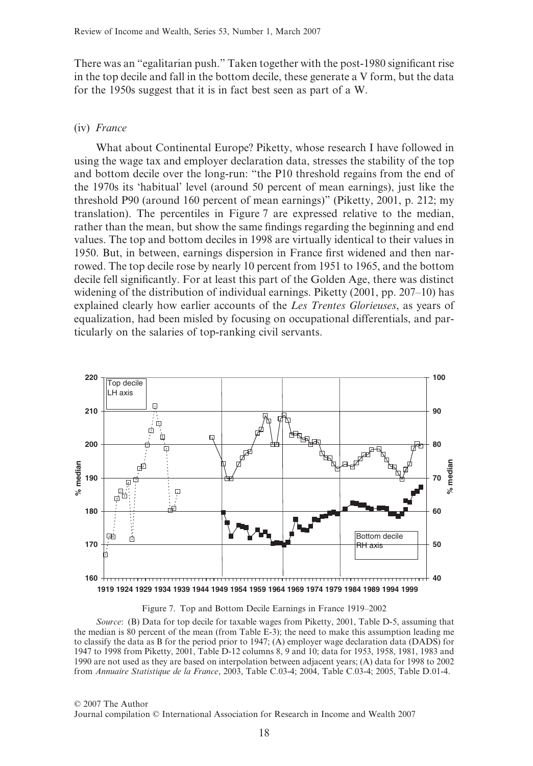There was an "egalitarian push." Taken together with the post-1980 significant rise in the top decile and fall in the bottom decile, these generate a  $V$  form, but the data for the 1950s suggest that it is in fact best seen as part of a W.

# (iv) *France*

What about Continental Europe? Piketty, whose research I have followed in using the wage tax and employer declaration data, stresses the stability of the top and bottom decile over the long-run: "the P10 threshold regains from the end of the 1970s its 'habitual' level (around 50 percent of mean earnings), just like the threshold P90 (around 160 percent of mean earnings)" (Piketty, 2001, p. 212; my translation). The percentiles in Figure 7 are expressed relative to the median, rather than the mean, but show the same findings regarding the beginning and end values. The top and bottom deciles in 1998 are virtually identical to their values in 1950. But, in between, earnings dispersion in France first widened and then narrowed. The top decile rose by nearly 10 percent from 1951 to 1965, and the bottom decile fell significantly. For at least this part of the Golden Age, there was distinct widening of the distribution of individual earnings. Piketty (2001, pp. 207–10) has explained clearly how earlier accounts of the *Les Trentes Glorieuses*, as years of equalization, had been misled by focusing on occupational differentials, and particularly on the salaries of top-ranking civil servants.



Figure 7. Top and Bottom Decile Earnings in France 1919–2002

*Source*: (B) Data for top decile for taxable wages from Piketty, 2001, Table D-5, assuming that the median is 80 percent of the mean (from Table E-3); the need to make this assumption leading me to classify the data as B for the period prior to 1947; (A) employer wage declaration data (DADS) for 1947 to 1998 from Piketty, 2001, Table D-12 columns 8, 9 and 10; data for 1953, 1958, 1981, 1983 and 1990 are not used as they are based on interpolation between adjacent years; (A) data for 1998 to 2002 from *Annuaire Statistique de la France*, 2003, Table C.03-4; 2004, Table C.03-4; 2005, Table D.01-4.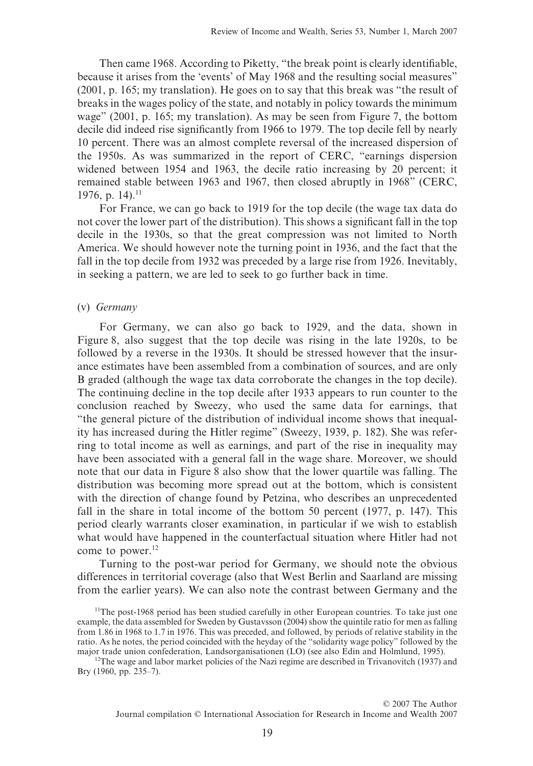Then came 1968. According to Piketty, "the break point is clearly identifiable, because it arises from the 'events' of May 1968 and the resulting social measures" (2001, p. 165; my translation). He goes on to say that this break was "the result of breaks in the wages policy of the state, and notably in policy towards the minimum wage" (2001, p. 165; my translation). As may be seen from Figure 7, the bottom decile did indeed rise significantly from 1966 to 1979. The top decile fell by nearly 10 percent. There was an almost complete reversal of the increased dispersion of the 1950s. As was summarized in the report of CERC, "earnings dispersion widened between 1954 and 1963, the decile ratio increasing by 20 percent; it remained stable between 1963 and 1967, then closed abruptly in 1968" (CERC, 1976, p. 14).<sup>11</sup>

For France, we can go back to 1919 for the top decile (the wage tax data do not cover the lower part of the distribution). This shows a significant fall in the top decile in the 1930s, so that the great compression was not limited to North America. We should however note the turning point in 1936, and the fact that the fall in the top decile from 1932 was preceded by a large rise from 1926. Inevitably, in seeking a pattern, we are led to seek to go further back in time.

# (v) *Germany*

For Germany, we can also go back to 1929, and the data, shown in Figure 8, also suggest that the top decile was rising in the late 1920s, to be followed by a reverse in the 1930s. It should be stressed however that the insurance estimates have been assembled from a combination of sources, and are only B graded (although the wage tax data corroborate the changes in the top decile). The continuing decline in the top decile after 1933 appears to run counter to the conclusion reached by Sweezy, who used the same data for earnings, that "the general picture of the distribution of individual income shows that inequality has increased during the Hitler regime" (Sweezy, 1939, p. 182). She was referring to total income as well as earnings, and part of the rise in inequality may have been associated with a general fall in the wage share. Moreover, we should note that our data in Figure 8 also show that the lower quartile was falling. The distribution was becoming more spread out at the bottom, which is consistent with the direction of change found by Petzina, who describes an unprecedented fall in the share in total income of the bottom 50 percent (1977, p. 147). This period clearly warrants closer examination, in particular if we wish to establish what would have happened in the counterfactual situation where Hitler had not come to power.<sup>12</sup>

Turning to the post-war period for Germany, we should note the obvious differences in territorial coverage (also that West Berlin and Saarland are missing from the earlier years). We can also note the contrast between Germany and the

<sup>&</sup>lt;sup>11</sup>The post-1968 period has been studied carefully in other European countries. To take just one example, the data assembled for Sweden by Gustavsson (2004) show the quintile ratio for men as falling from 1.86 in 1968 to 1.7 in 1976. This was preceded, and followed, by periods of relative stability in the ratio. As he notes, the period coincided with the heyday of the "solidarity wage policy" followed by the major trade union confederation, Landsorganisationen (LO) (see also Edin and Holmlund, 1995).

 $12$ The wage and labor market policies of the Nazi regime are described in Trivanovitch (1937) and Bry (1960, pp. 235–7).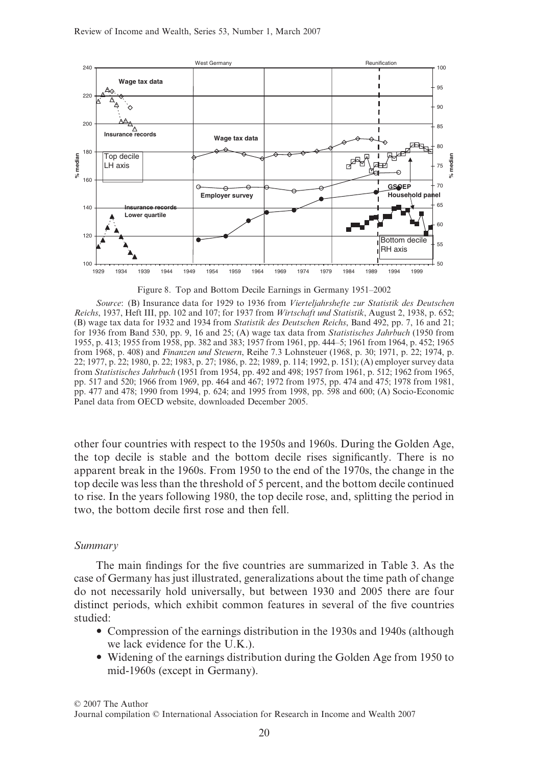

Figure 8. Top and Bottom Decile Earnings in Germany 1951–2002

*Source*: (B) Insurance data for 1929 to 1936 from *Vierteljahrshefte zur Statistik des Deutschen Reichs*, 1937, Heft III, pp. 102 and 107; for 1937 from *Wirtschaft und Statistik*, August 2, 1938, p. 652; (B) wage tax data for 1932 and 1934 from *Statistik des Deutschen Reichs*, Band 492, pp. 7, 16 and 21; for 1936 from Band 530, pp. 9, 16 and 25; (A) wage tax data from *Statistisches Jahrbuch* (1950 from 1955, p. 413; 1955 from 1958, pp. 382 and 383; 1957 from 1961, pp. 444–5; 1961 from 1964, p. 452; 1965 from 1968, p. 408) and *Finanzen und Steuern*, Reihe 7.3 Lohnsteuer (1968, p. 30; 1971, p. 22; 1974, p. 22; 1977, p. 22; 1980, p. 22; 1983, p. 27; 1986, p. 22; 1989, p. 114; 1992, p. 151); (A) employer survey data from *Statistisches Jahrbuch* (1951 from 1954, pp. 492 and 498; 1957 from 1961, p. 512; 1962 from 1965, pp. 517 and 520; 1966 from 1969, pp. 464 and 467; 1972 from 1975, pp. 474 and 475; 1978 from 1981, pp. 477 and 478; 1990 from 1994, p. 624; and 1995 from 1998, pp. 598 and 600; (A) Socio-Economic Panel data from OECD website, downloaded December 2005.

other four countries with respect to the 1950s and 1960s. During the Golden Age, the top decile is stable and the bottom decile rises significantly. There is no apparent break in the 1960s. From 1950 to the end of the 1970s, the change in the top decile was less than the threshold of 5 percent, and the bottom decile continued to rise. In the years following 1980, the top decile rose, and, splitting the period in two, the bottom decile first rose and then fell.

# *Summary*

The main findings for the five countries are summarized in Table 3. As the case of Germany has just illustrated, generalizations about the time path of change do not necessarily hold universally, but between 1930 and 2005 there are four distinct periods, which exhibit common features in several of the five countries studied:

- Compression of the earnings distribution in the 1930s and 1940s (although we lack evidence for the U.K.).
- Widening of the earnings distribution during the Golden Age from 1950 to mid-1960s (except in Germany).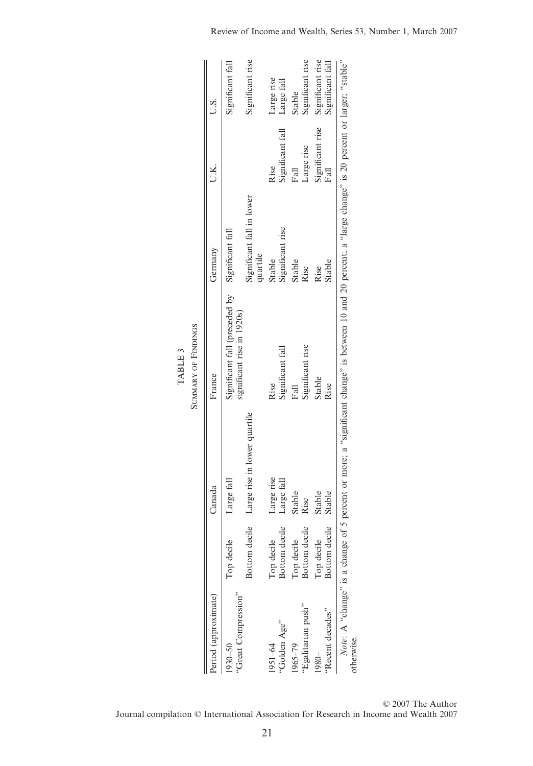| Period (approximate)              |                             | Canada                              | France                                                                                                                                                     | Germany                               | U.K.                     | U.S.                                 |
|-----------------------------------|-----------------------------|-------------------------------------|------------------------------------------------------------------------------------------------------------------------------------------------------------|---------------------------------------|--------------------------|--------------------------------------|
| Great Compression"<br>$1930 - 50$ | Top decile                  | Large fall                          | Significant fall (preceded by Significant fall<br>significant rise in 1920s)                                                                               |                                       |                          | Significant fall                     |
|                                   | Bottom                      | decile Large rise in lower quartile |                                                                                                                                                            | Significant fall in lower<br>quartile |                          | Significant rise                     |
| 'Golden Age"<br>1951-64           | Bottom decile<br>Top decile | Large rise<br>Large fall            | Significant fall<br>Rise                                                                                                                                   | Significant rise<br>Stable            | Significant fall<br>Rise | Large rise<br>Large fall             |
| Egalitarian push"<br>1965-79      | Bottom decile<br>Top decile | Stable<br>Rise                      | Significant rise<br>Fall                                                                                                                                   | Stable<br>Rise                        | Large rise<br>Fall       | Significant rise<br>Stable           |
| Recent decades"<br>-0861          | Bottom decile<br>Top decile | Stable<br>Stable                    | Stable<br>Rise                                                                                                                                             | Stable<br>Rise                        | Significant rise<br>FaJ  | Significant rise<br>Significant fall |
| otherwise.                        |                             |                                     | Note: A "change" is a change of 5 percent or more; a "significant change" is between 10 and 20 percent; a "large change" is 20 percent or larger; "stable" |                                       |                          |                                      |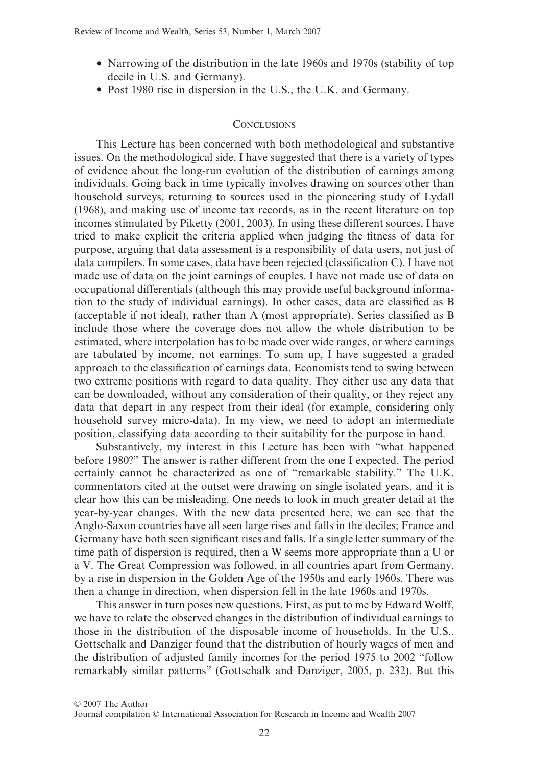- Narrowing of the distribution in the late 1960s and 1970s (stability of top decile in U.S. and Germany).
- Post 1980 rise in dispersion in the U.S., the U.K. and Germany.

#### **CONCLUSIONS**

This Lecture has been concerned with both methodological and substantive issues. On the methodological side, I have suggested that there is a variety of types of evidence about the long-run evolution of the distribution of earnings among individuals. Going back in time typically involves drawing on sources other than household surveys, returning to sources used in the pioneering study of Lydall (1968), and making use of income tax records, as in the recent literature on top incomes stimulated by Piketty (2001, 2003). In using these different sources, I have tried to make explicit the criteria applied when judging the fitness of data for purpose, arguing that data assessment is a responsibility of data users, not just of data compilers. In some cases, data have been rejected (classification C). I have not made use of data on the joint earnings of couples. I have not made use of data on occupational differentials (although this may provide useful background information to the study of individual earnings). In other cases, data are classified as B (acceptable if not ideal), rather than A (most appropriate). Series classified as B include those where the coverage does not allow the whole distribution to be estimated, where interpolation has to be made over wide ranges, or where earnings are tabulated by income, not earnings. To sum up, I have suggested a graded approach to the classification of earnings data. Economists tend to swing between two extreme positions with regard to data quality. They either use any data that can be downloaded, without any consideration of their quality, or they reject any data that depart in any respect from their ideal (for example, considering only household survey micro-data). In my view, we need to adopt an intermediate position, classifying data according to their suitability for the purpose in hand.

Substantively, my interest in this Lecture has been with "what happened before 1980?" The answer is rather different from the one I expected. The period certainly cannot be characterized as one of "remarkable stability." The U.K. commentators cited at the outset were drawing on single isolated years, and it is clear how this can be misleading. One needs to look in much greater detail at the year-by-year changes. With the new data presented here, we can see that the Anglo-Saxon countries have all seen large rises and falls in the deciles; France and Germany have both seen significant rises and falls. If a single letter summary of the time path of dispersion is required, then a W seems more appropriate than a U or a V. The Great Compression was followed, in all countries apart from Germany, by a rise in dispersion in the Golden Age of the 1950s and early 1960s. There was then a change in direction, when dispersion fell in the late 1960s and 1970s.

This answer in turn poses new questions. First, as put to me by Edward Wolff, we have to relate the observed changes in the distribution of individual earnings to those in the distribution of the disposable income of households. In the U.S., Gottschalk and Danziger found that the distribution of hourly wages of men and the distribution of adjusted family incomes for the period 1975 to 2002 "follow remarkably similar patterns" (Gottschalk and Danziger, 2005, p. 232). But this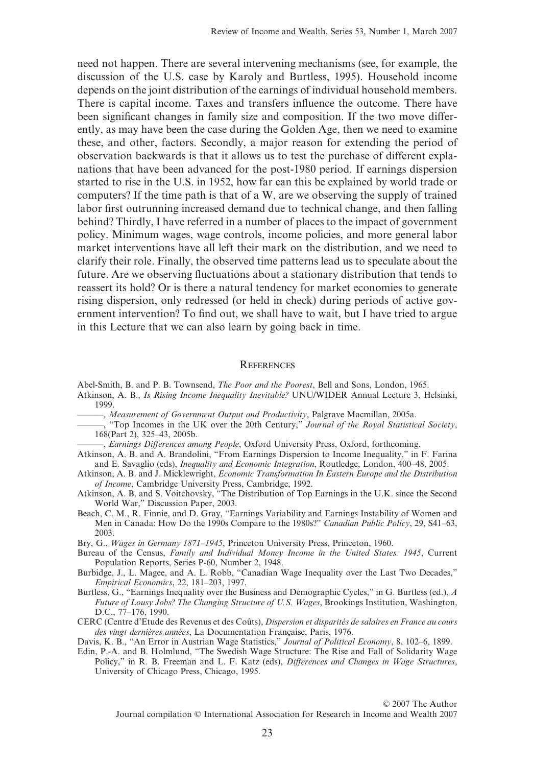need not happen. There are several intervening mechanisms (see, for example, the discussion of the U.S. case by Karoly and Burtless, 1995). Household income depends on the joint distribution of the earnings of individual household members. There is capital income. Taxes and transfers influence the outcome. There have been significant changes in family size and composition. If the two move differently, as may have been the case during the Golden Age, then we need to examine these, and other, factors. Secondly, a major reason for extending the period of observation backwards is that it allows us to test the purchase of different explanations that have been advanced for the post-1980 period. If earnings dispersion started to rise in the U.S. in 1952, how far can this be explained by world trade or computers? If the time path is that of a W, are we observing the supply of trained labor first outrunning increased demand due to technical change, and then falling behind? Thirdly, I have referred in a number of places to the impact of government policy. Minimum wages, wage controls, income policies, and more general labor market interventions have all left their mark on the distribution, and we need to clarify their role. Finally, the observed time patterns lead us to speculate about the future. Are we observing fluctuations about a stationary distribution that tends to reassert its hold? Or is there a natural tendency for market economies to generate rising dispersion, only redressed (or held in check) during periods of active government intervention? To find out, we shall have to wait, but I have tried to argue in this Lecture that we can also learn by going back in time.

#### **REFERENCES**

Abel-Smith, B. and P. B. Townsend, *The Poor and the Poorest*, Bell and Sons, London, 1965.

- Atkinson, A. B., *Is Rising Income Inequality Inevitable?* UNU/WIDER Annual Lecture 3, Helsinki, 1999.
- ———, *Measurement of Government Output and Productivity*, Palgrave Macmillan, 2005a.
- ———, "Top Incomes in the UK over the 20th Century," *Journal of the Royal Statistical Society*, 168(Part 2), 325–43, 2005b.

———, *Earnings Differences among People*, Oxford University Press, Oxford, forthcoming. Atkinson, A. B. and A. Brandolini, "From Earnings Dispersion to Income Inequality," in F. Farina

and E. Savaglio (eds), *Inequality and Economic Integration*, Routledge, London, 400–48, 2005.

Atkinson, A. B. and J. Micklewright, *Economic Transformation In Eastern Europe and the Distribution of Income*, Cambridge University Press, Cambridge, 1992.

- Atkinson, A. B. and S. Voitchovsky, "The Distribution of Top Earnings in the U.K. since the Second World War," Discussion Paper, 2003.
- Beach, C. M., R. Finnie, and D. Gray, "Earnings Variability and Earnings Instability of Women and Men in Canada: How Do the 1990s Compare to the 1980s?" *Canadian Public Policy*, 29, S41–63, 2003.

Bry, G., *Wages in Germany 1871–1945*, Princeton University Press, Princeton, 1960.

- Bureau of the Census, *Family and Individual Money Income in the United States: 1945*, Current Population Reports, Series P-60, Number 2, 1948.
- Burbidge, J., L. Magee, and A. L. Robb, "Canadian Wage Inequality over the Last Two Decades," *Empirical Economics*, 22, 181–203, 1997.
- Burtless, G., "Earnings Inequality over the Business and Demographic Cycles," in G. Burtless (ed.), *A Future of Lousy Jobs? The Changing Structure of U.S. Wages*, Brookings Institution, Washington, D.C., 77–176, 1990.
- CERC (Centre d'Etude des Revenus et des Coûts), *Dispersion et disparités de salaires en France au cours des vingt dernières années*, La Documentation Française, Paris, 1976.

Davis, K. B., "An Error in Austrian Wage Statistics," *Journal of Political Economy*, 8, 102–6, 1899.

Edin, P.-A. and B. Holmlund, "The Swedish Wage Structure: The Rise and Fall of Solidarity Wage Policy," in R. B. Freeman and L. F. Katz (eds), *Differences and Changes in Wage Structures*, University of Chicago Press, Chicago, 1995.